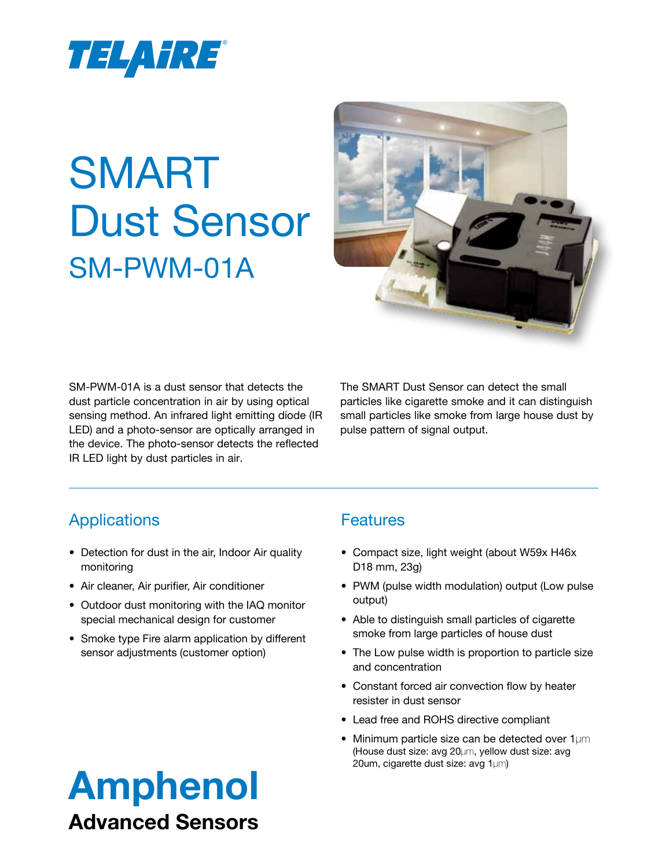

# SMART Dust Sensor SM-PWM-01A



SM-PWM-01A is a dust sensor that detects the dust particle concentration in air by using optical sensing method. An infrared light emitting diode (IR LED) and a photo-sensor are optically arranged in the device. The photo-sensor detects the reflected IR LED light by dust particles in air.

The SMART Dust Sensor can detect the small particles like cigarette smoke and it can distinguish small particles like smoke from large house dust by pulse pattern of signal output.

## Applications

- Detection for dust in the air, Indoor Air quality monitoring
- Air cleaner, Air purifier, Air conditioner
- Outdoor dust monitoring with the IAQ monitor special mechanical design for customer
- Smoke type Fire alarm application by different sensor adjustments (customer option)

## **Features**

- Compact size, light weight (about W59x H46x) D18 mm, 23g)
- PWM (pulse width modulation) output (Low pulse output)
- Able to distinguish small particles of cigarette smoke from large particles of house dust
- The Low pulse width is proportion to particle size and concentration
- Constant forced air convection flow by heater resister in dust sensor
- Lead free and ROHS directive compliant
- Minimum particle size can be detected over 1µm (House dust size: avg 20µm, yellow dust size: avg 20um, cigarette dust size: avg 1µm)

## Amphenol Advanced Sensors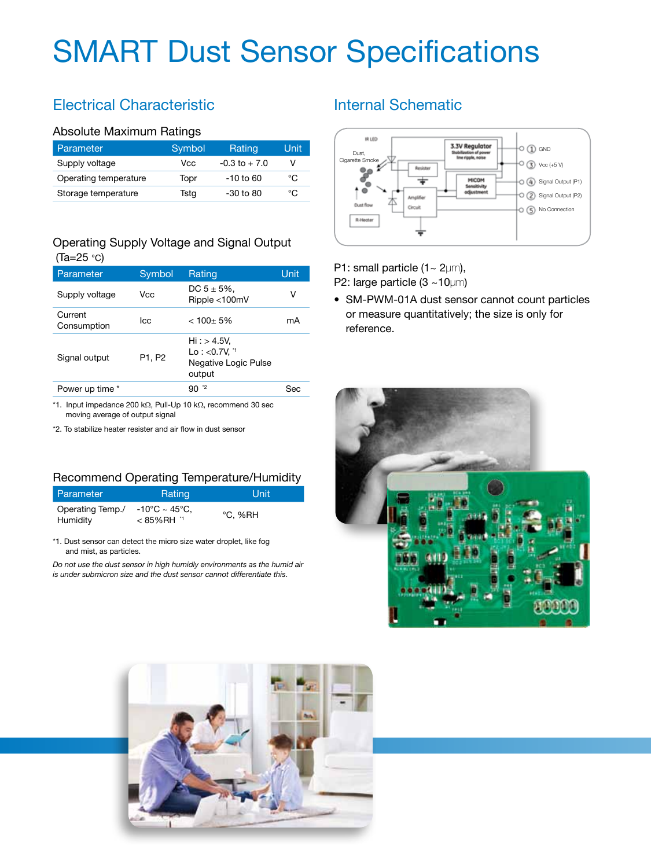## SMART Dust Sensor Specifications

## Electrical Characteristic

#### Absolute Maximum Ratings

| Parameter             | Symbol | Rating           | Unit |
|-----------------------|--------|------------------|------|
| Supply voltage        | Vcc    | $-0.3$ to $+7.0$ |      |
| Operating temperature | Topr   | $-10$ to 60      | °C   |
| Storage temperature   | Tsta   | $-30$ to $80$    | °C   |

#### Operating Supply Voltage and Signal Output (Ta=25 °C)

| Parameter              | Symbol | Rating                                                                     | Unit |
|------------------------|--------|----------------------------------------------------------------------------|------|
| Supply voltage         | Vcc    | DC $5 \pm 5\%$ ,<br>Ripple <100mV                                          | V    |
| Current<br>Consumption | lcc    | $< 100 + 5%$                                                               | mA   |
| Signal output          | P1, P2 | Hi: > 4.5V,<br>$Lo: <0.7V.$ <sup>1</sup><br>Negative Logic Pulse<br>output |      |
| Power up time *        |        | $90-2$                                                                     | Ser  |

\*1. Input impedance 200 kΩ, Pull-Up 10 kΩ, recommend 30 sec moving average of output signal

\*2. To stabilize heater resister and air flow in dust sensor

#### Recommend Operating Temperature/Humidity

| l Parameter                  | Rating                            | Unit    |
|------------------------------|-----------------------------------|---------|
| Operating Temp./<br>Humidity | -10°C ~ 45°C,<br>$< 85\%$ RH $11$ | °C. %RH |

\*1. Dust sensor can detect the micro size water droplet, like fog and mist, as particles.

*Do not use the dust sensor in high humidly environments as the humid air is under submicron size and the dust sensor cannot differentiate this*.

### Internal Schematic



P1: small particle  $(1 - 2 \mu m)$ , P2: large particle (3 ~10µm)

• SM-PWM-01A dust sensor cannot count particles or measure quantitatively; the size is only for reference.



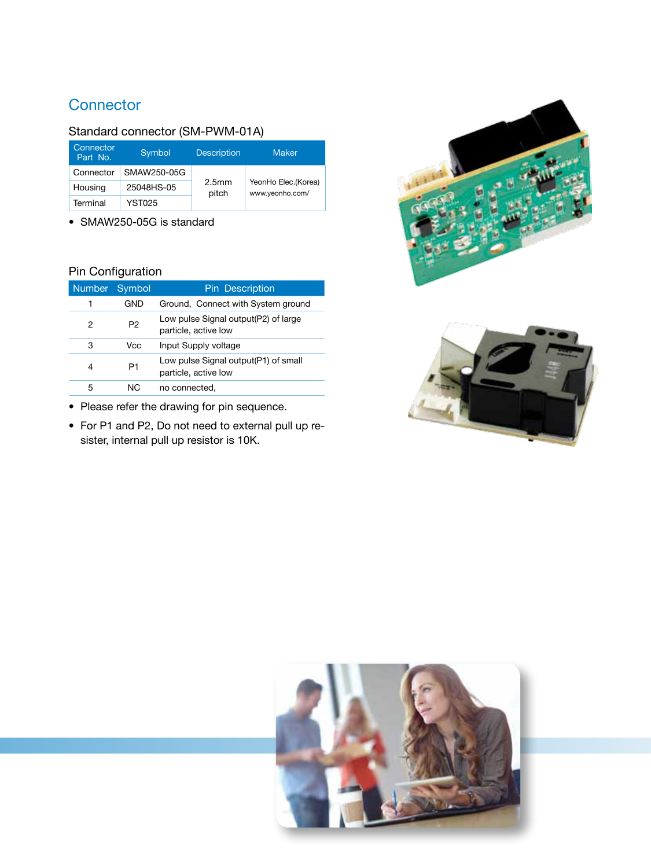## **Connector**

#### Standard connector (SM-PWM-01A)

| Connector<br>Part No. | Symbol.     | <b>Description</b>         | <b>Maker</b>                           |
|-----------------------|-------------|----------------------------|----------------------------------------|
| Connector             | SMAW250-05G |                            |                                        |
| Housing               | 25048HS-05  | 2.5 <sub>mm</sub><br>pitch | YeonHo Elec.(Korea)<br>www.yeonho.com/ |
| Terminal              | YST025      |                            |                                        |

• SMAW250-05G is standard

#### Pin Configuration

| <b>Number</b> | Symbol | <b>Pin Description</b>                                       |
|---------------|--------|--------------------------------------------------------------|
| 1             | GND    | Ground, Connect with System ground                           |
| 2             | P2     | Low pulse Signal output(P2) of large<br>particle, active low |
| 3             | Vcc    | Input Supply voltage                                         |
| 4             | P1     | Low pulse Signal output(P1) of small<br>particle, active low |
| 5             | NC.    | no connected,                                                |

- Please refer the drawing for pin sequence.
- For P1 and P2, Do not need to external pull up resister, internal pull up resistor is 10K.